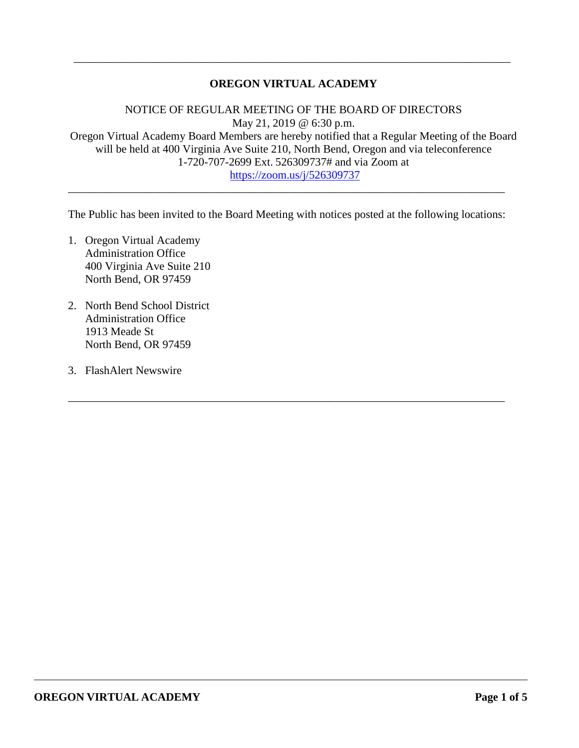## **OREGON VIRTUAL ACADEMY**

\_\_\_\_\_\_\_\_\_\_\_\_\_\_\_\_\_\_\_\_\_\_\_\_\_\_\_\_\_\_\_\_\_\_\_\_\_\_\_\_\_\_\_\_\_\_\_\_\_\_\_\_\_\_\_\_\_\_\_\_\_\_\_\_\_\_\_\_\_\_\_\_\_\_\_\_\_

NOTICE OF REGULAR MEETING OF THE BOARD OF DIRECTORS May 21, 2019 @ 6:30 p.m. Oregon Virtual Academy Board Members are hereby notified that a Regular Meeting of the Board will be held at 400 Virginia Ave Suite 210, North Bend, Oregon and via teleconference 1-720-707-2699 Ext. 526309737# and via Zoom at <https://zoom.us/j/526309737>

The Public has been invited to the Board Meeting with notices posted at the following locations:

\_\_\_\_\_\_\_\_\_\_\_\_\_\_\_\_\_\_\_\_\_\_\_\_\_\_\_\_\_\_\_\_\_\_\_\_\_\_\_\_\_\_\_\_\_\_\_\_\_\_\_\_\_\_\_\_\_\_\_\_\_\_\_\_\_\_\_\_\_\_\_\_\_\_\_\_\_

\_\_\_\_\_\_\_\_\_\_\_\_\_\_\_\_\_\_\_\_\_\_\_\_\_\_\_\_\_\_\_\_\_\_\_\_\_\_\_\_\_\_\_\_\_\_\_\_\_\_\_\_\_\_\_\_\_\_\_\_\_\_\_\_\_\_\_\_\_\_\_\_\_\_\_\_\_

- 1. Oregon Virtual Academy Administration Office 400 Virginia Ave Suite 210 North Bend, OR 97459
- 2. North Bend School District Administration Office 1913 Meade St North Bend, OR 97459
- 3. FlashAlert Newswire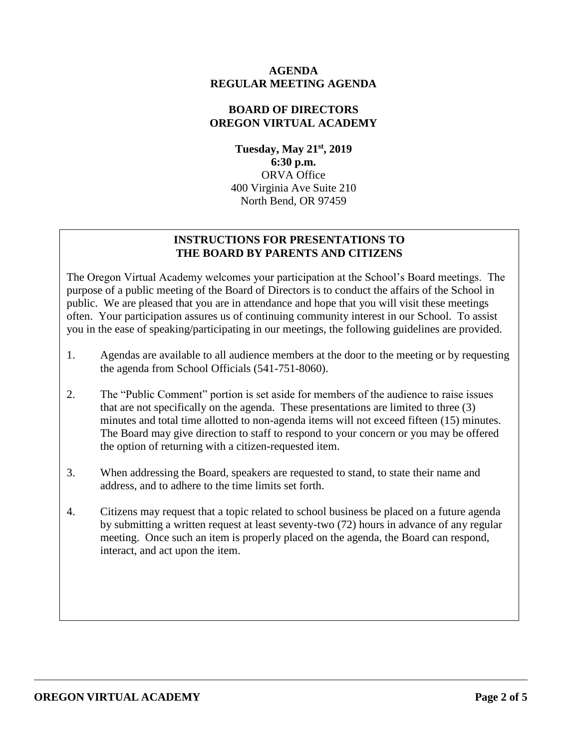## **AGENDA REGULAR MEETING AGENDA**

## **BOARD OF DIRECTORS OREGON VIRTUAL ACADEMY**

**Tuesday, May 21st , 2019 6:30 p.m.** ORVA Office 400 Virginia Ave Suite 210 North Bend, OR 97459

# **INSTRUCTIONS FOR PRESENTATIONS TO THE BOARD BY PARENTS AND CITIZENS**

The Oregon Virtual Academy welcomes your participation at the School's Board meetings. The purpose of a public meeting of the Board of Directors is to conduct the affairs of the School in public. We are pleased that you are in attendance and hope that you will visit these meetings often. Your participation assures us of continuing community interest in our School. To assist you in the ease of speaking/participating in our meetings, the following guidelines are provided.

- 1. Agendas are available to all audience members at the door to the meeting or by requesting the agenda from School Officials (541-751-8060).
- 2. The "Public Comment" portion is set aside for members of the audience to raise issues that are not specifically on the agenda. These presentations are limited to three (3) minutes and total time allotted to non-agenda items will not exceed fifteen (15) minutes. The Board may give direction to staff to respond to your concern or you may be offered the option of returning with a citizen-requested item.
- 3. When addressing the Board, speakers are requested to stand, to state their name and address, and to adhere to the time limits set forth.
- 4. Citizens may request that a topic related to school business be placed on a future agenda by submitting a written request at least seventy-two (72) hours in advance of any regular meeting. Once such an item is properly placed on the agenda, the Board can respond, interact, and act upon the item.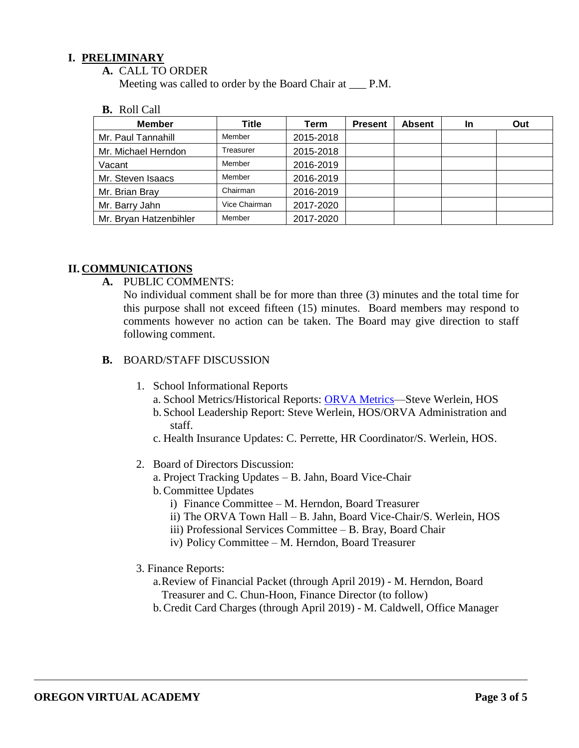## **I. PRELIMINARY**

**A.** CALL TO ORDER

Meeting was called to order by the Board Chair at \_\_\_ P.M.

**B.** Roll Call

| <b>Member</b>          | Title         | Term      | <b>Present</b> | <b>Absent</b> | <b>In</b> | Out |
|------------------------|---------------|-----------|----------------|---------------|-----------|-----|
| Mr. Paul Tannahill     | Member        | 2015-2018 |                |               |           |     |
| Mr. Michael Herndon    | Treasurer     | 2015-2018 |                |               |           |     |
| Vacant                 | Member        | 2016-2019 |                |               |           |     |
| Mr. Steven Isaacs      | Member        | 2016-2019 |                |               |           |     |
| Mr. Brian Bray         | Chairman      | 2016-2019 |                |               |           |     |
| Mr. Barry Jahn         | Vice Chairman | 2017-2020 |                |               |           |     |
| Mr. Bryan Hatzenbihler | Member        | 2017-2020 |                |               |           |     |

## **II. COMMUNICATIONS**

**A.** PUBLIC COMMENTS:

No individual comment shall be for more than three (3) minutes and the total time for this purpose shall not exceed fifteen (15) minutes. Board members may respond to comments however no action can be taken. The Board may give direction to staff following comment.

- **B.** BOARD/STAFF DISCUSSION
	- 1. School Informational Reports
		- a. School Metrics/Historical Reports: ORVA Metrics-Steve Werlein, HOS
		- b. School Leadership Report: Steve Werlein, HOS/ORVA Administration and staff.
		- c. Health Insurance Updates: C. Perrette, HR Coordinator/S. Werlein, HOS.
	- 2. Board of Directors Discussion:
		- a. Project Tracking Updates B. Jahn, Board Vice-Chair
		- b.Committee Updates
			- i) Finance Committee M. Herndon, Board Treasurer
			- ii) The ORVA Town Hall B. Jahn, Board Vice-Chair/S. Werlein, HOS
			- iii) Professional Services Committee B. Bray, Board Chair
			- iv) Policy Committee M. Herndon, Board Treasurer
	- 3. Finance Reports:
		- a.Review of Financial Packet (through April 2019) M. Herndon, Board Treasurer and C. Chun-Hoon, Finance Director (to follow)
		- b.Credit Card Charges (through April 2019) M. Caldwell, Office Manager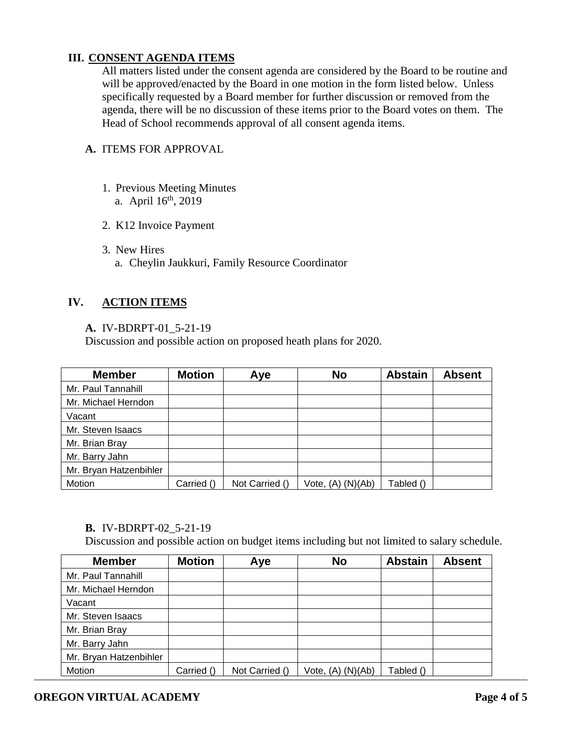## **III. CONSENT AGENDA ITEMS**

All matters listed under the consent agenda are considered by the Board to be routine and will be approved/enacted by the Board in one motion in the form listed below. Unless specifically requested by a Board member for further discussion or removed from the agenda, there will be no discussion of these items prior to the Board votes on them. The Head of School recommends approval of all consent agenda items.

#### **A.** ITEMS FOR APPROVAL

- 1. Previous Meeting Minutes
	- a. April  $16^{\text{th}}$ , 2019
- 2. K12 Invoice Payment
- 3. New Hires
	- a. Cheylin Jaukkuri, Family Resource Coordinator

## **IV. ACTION ITEMS**

#### **A.** IV-BDRPT-01\_5-21-19

Discussion and possible action on proposed heath plans for 2020.

| <b>Member</b>          | <b>Motion</b> | Aye            | <b>No</b>             | <b>Abstain</b> | <b>Absent</b> |
|------------------------|---------------|----------------|-----------------------|----------------|---------------|
| Mr. Paul Tannahill     |               |                |                       |                |               |
| Mr. Michael Herndon    |               |                |                       |                |               |
| Vacant                 |               |                |                       |                |               |
| Mr. Steven Isaacs      |               |                |                       |                |               |
| Mr. Brian Bray         |               |                |                       |                |               |
| Mr. Barry Jahn         |               |                |                       |                |               |
| Mr. Bryan Hatzenbihler |               |                |                       |                |               |
| Motion                 | Carried ()    | Not Carried () | Vote, $(A)$ $(N)(Ab)$ | Tabled ()      |               |

#### **B.** IV-BDRPT-02\_5-21-19

Discussion and possible action on budget items including but not limited to salary schedule.

| <b>Member</b>          | <b>Motion</b> | Aye            | <b>No</b>             | <b>Abstain</b> | <b>Absent</b> |
|------------------------|---------------|----------------|-----------------------|----------------|---------------|
| Mr. Paul Tannahill     |               |                |                       |                |               |
| Mr. Michael Herndon    |               |                |                       |                |               |
| Vacant                 |               |                |                       |                |               |
| Mr. Steven Isaacs      |               |                |                       |                |               |
| Mr. Brian Bray         |               |                |                       |                |               |
| Mr. Barry Jahn         |               |                |                       |                |               |
| Mr. Bryan Hatzenbihler |               |                |                       |                |               |
| Motion                 | Carried ()    | Not Carried () | Vote, $(A)$ $(N)(Ab)$ | Tabled ()      |               |